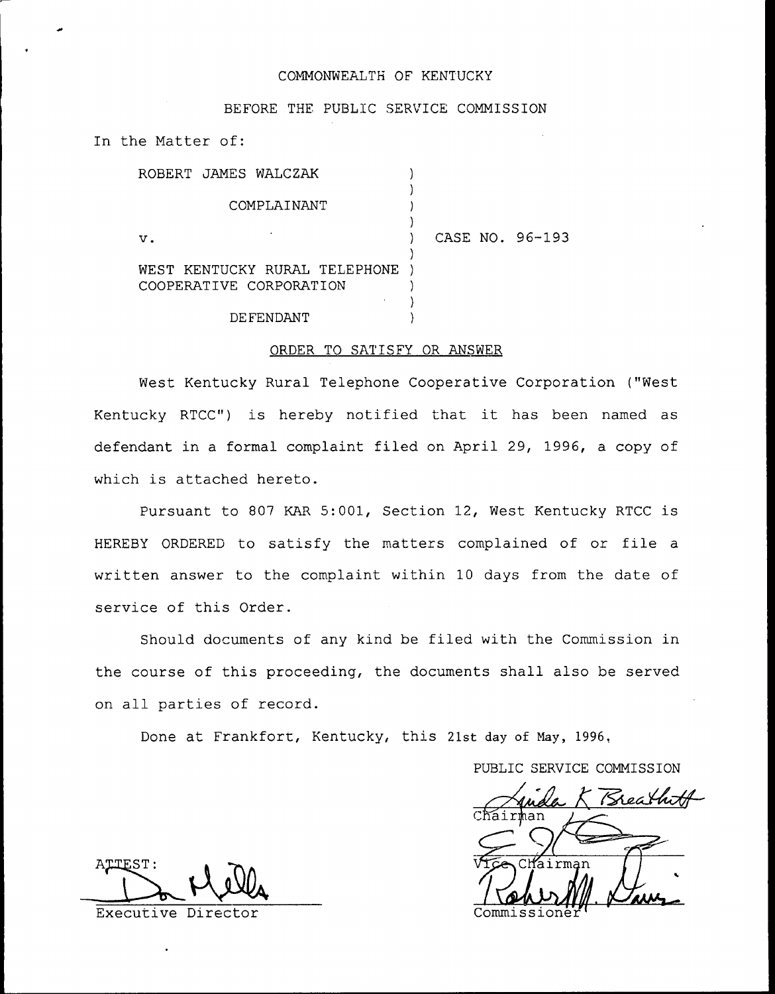## COMMONWEALTH OF KENTUCKY

## BEFORE THE PUBLIC SERVICE COMMISSION

In the Matter of:

| ROBERT JAMES WALCZAK                                     |                 |
|----------------------------------------------------------|-----------------|
| COMPLAINANT                                              |                 |
| $\mathbf v$ .                                            | CASE NO. 96-193 |
| WEST KENTUCKY RURAL TELEPHONE<br>COOPERATIVE CORPORATION |                 |
| DEFENDANT                                                |                 |

## ORDER TO SATISFY OR ANSWER

West Kentucky Rural Telephone Cooperative Corporation ("West Kentucky RTCC") is hereby notified that it has been named as defendant in a formal complaint filed on April 29, 1996, a copy of which is attached hereto.

Pursuant to 807 KAR 5:001, Section 12, West Kentucky RTCC is HEREBY ORDERED to satisfy the matters complained of or file <sup>a</sup> written answer to the complaint within 10 days from the date of service of this Order.

Should documents of any kind be filed with the Commission in the course of this proceeding, the documents shall also be served on all parties of record.

Done at Frankfort, Kentucky, this 21st day of May, 1996,

PUBLIC SERVICE COMMISSION

Kreathra Chair

ATTEST:

Executive Director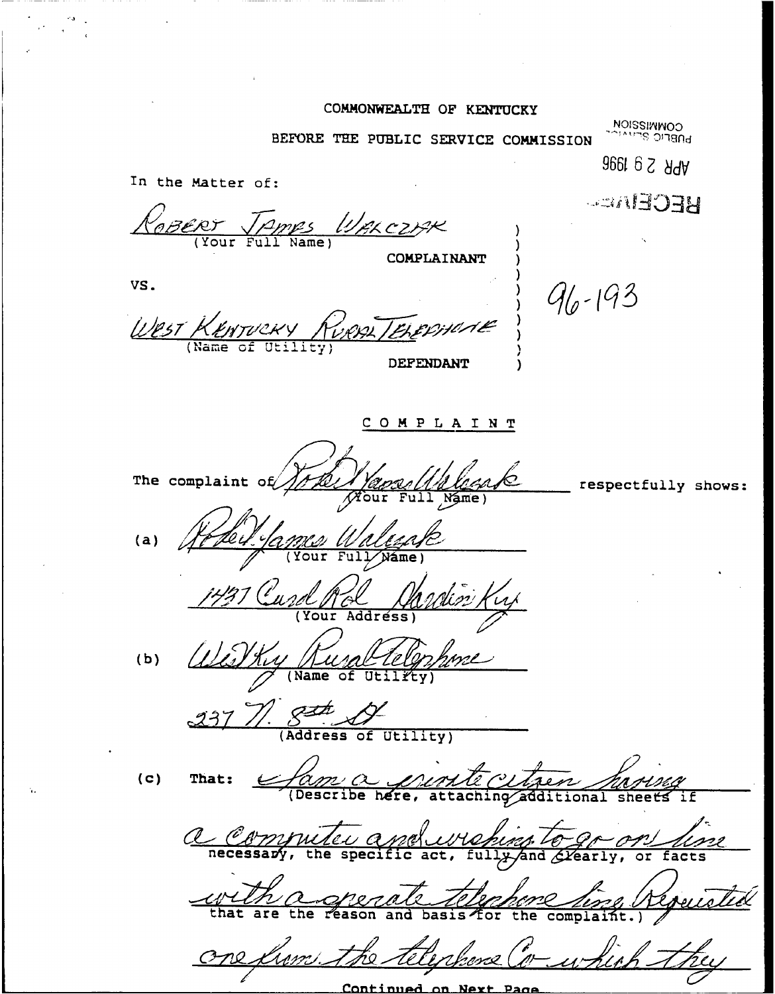## COMMONWEALTH OF KENTUCKY

BEFORE THE PUBLIC SERVICE COMMISSION

**NOISSINNOO**<br>**DOBELIC SERVATS** 

**APR 2 9 1996** In the Matter of: **BECEMEN** BERT TAMES WALCOME COMPLAINANT VS.  $96 - 193$ West KENTUCKY DEFENDANT COMPLAINT The complaint of respectfully shows:  $\overline{\mathscr{M}}$ our  $(a)$  $\overline{Fu}$ Your Náme) Your Address)  $(b)$ Name  $\frac{g+h}{g}$  (Address of Utility)  $(c)$ That: <u>fame a gre</u><br>(Describe here, <u>UMU CLAGEN MAJUSCH</u><br>attaching additional sheets if a Computer a Weburg To gr on  $\overline{\mathsf{act}}$ . eville the the telephone (" one lim.

<u>Continued</u> <u>on</u> <u>Next</u>